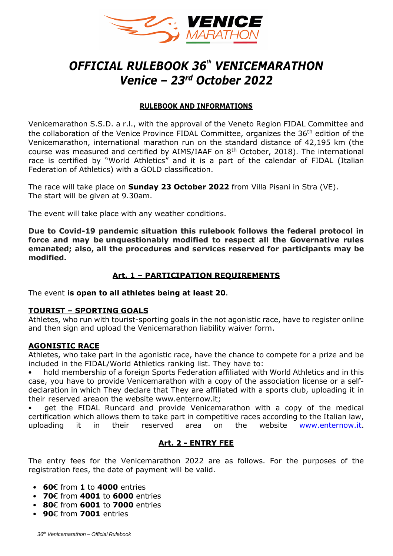

# *OFFICIAL RULEBOOK 36 th VENICEMARATHON Venice – 23rd October 2022*

## **RULEBOOK AND INFORMATIONS**

Venicemarathon S.S.D. a r.l., with the approval of the Veneto Region FIDAL Committee and the collaboration of the Venice Province FIDAL Committee, organizes the 36<sup>th</sup> edition of the Venicemarathon, international marathon run on the standard distance of 42,195 km (the course was measured and certified by AIMS/IAAF on  $8<sup>th</sup>$  October, 2018). The international race is certified by "World Athletics" and it is a part of the calendar of FIDAL (Italian Federation of Athletics) with a GOLD classification.

The race will take place on **Sunday 23 October 2022** from Villa Pisani in Stra (VE). The start will be given at 9.30am.

The event will take place with any weather conditions.

**Due to Covid-19 pandemic situation this rulebook follows the federal protocol in force and may be unquestionably modified to respect all the Governative rules emanated; also, all the procedures and services reserved for participants may be modified.**

## **Art. 1 – PARTICIPATION REQUIREMENTS**

The event **is open to all athletes being at least 20**.

## **TOURIST – SPORTING GOALS**

Athletes, who run with tourist-sporting goals in the not agonistic race, have to register online and then sign and upload the Venicemarathon liability waiver form.

## **AGONISTIC RACE**

Athletes, who take part in the agonistic race, have the chance to compete for a prize and be included in the FIDAL/World Athletics ranking list. They have to:

• hold membership of a foreign Sports Federation affiliated with World Athletics and in this case, you have to provide Venicemarathon with a copy of the association license or a selfdeclaration in which They declare that They are affiliated with a sports club, uploading it in their reserved areaon the website www.enternow.it;

get the FIDAL Runcard and provide Venicemarathon with a copy of the medical certification which allows them to take part in competitive races according to the Italian law, uploading it in their reserved area on the website [www.enternow.it.](about:blank)

# **Art. 2 - ENTRY FEE**

The entry fees for the Venicemarathon 2022 are as follows. For the purposes of the registration fees, the date of payment will be valid.

- **60**€ from **1** to **4000** entries
- **70**€ from **4001** to **6000** entries
- **80**€ from **6001** to **7000** entries
- **90**€ from **7001** entries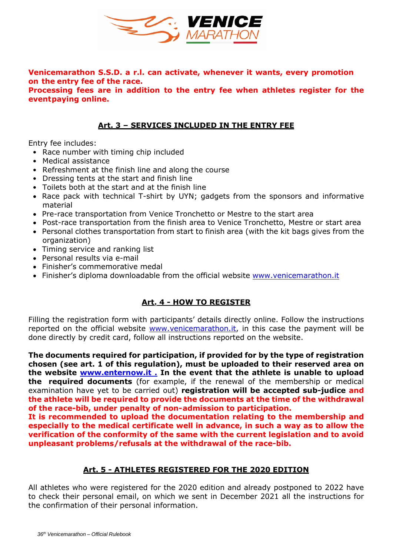

**Venicemarathon S.S.D. a r.l. can activate, whenever it wants, every promotion on the entry fee of the race.**

**Processing fees are in addition to the entry fee when athletes register for the eventpaying online.**

## **Art. 3 – SERVICES INCLUDED IN THE ENTRY FEE**

Entry fee includes:

- Race number with timing chip included
- Medical assistance
- Refreshment at the finish line and along the course
- Dressing tents at the start and finish line
- Toilets both at the start and at the finish line
- Race pack with technical T-shirt by UYN; gadgets from the sponsors and informative material
- Pre-race transportation from Venice Tronchetto or Mestre to the start area
- Post-race transportation from the finish area to Venice Tronchetto, Mestre or start area
- Personal clothes transportation from start to finish area (with the kit bags gives from the organization)
- Timing service and ranking list
- Personal results via e-mail
- Finisher's commemorative medal
- Finisher's diploma downloadable from the official website [www.venicemarathon.it](about:blank)

## **Art. 4 - HOW TO REGISTER**

Filling the registration form with participants' details directly online. Follow the instructions reported on the official website [www.venicemarathon.it,](http://www.venicemarathon.it/) in this case the payment will be done directly by credit card, follow all instructions reported on the website.

**The documents required for participation, if provided for by the type of registration chosen (see art. 1 of this regulation), must be uploaded to their reserved area on the website www.enternow.it . In the event that the athlete is unable to upload the required documents** (for example, if the renewal of the membership or medical examination have yet to be carried out) **registration will be accepted sub-judice and the athlete will be required to provide the documents at the time of the withdrawal of the race-bib, under penalty of non-admission to participation.**

**It is recommended to upload the documentation relating to the membership and especially to the medical certificate well in advance, in such a way as to allow the verification of the conformity of the same with the current legislation and to avoid unpleasant problems/refusals at the withdrawal of the race-bib.**

## **Art. 5 - ATHLETES REGISTERED FOR THE 2020 EDITION**

All athletes who were registered for the 2020 edition and already postponed to 2022 have to check their personal email, on which we sent in December 2021 all the instructions for the confirmation of their personal information.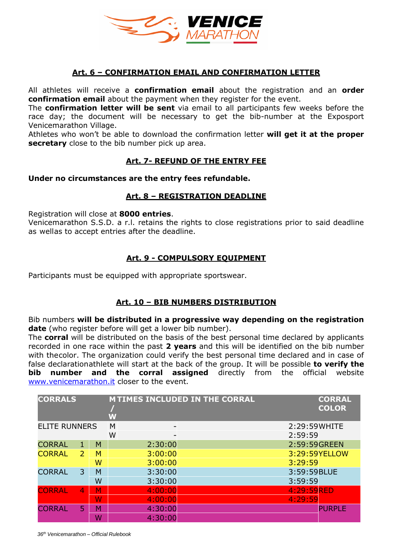

## **Art. 6 – CONFIRMATION EMAIL AND CONFIRMATION LETTER**

All athletes will receive a **confirmation email** about the registration and an **order confirmation email** about the payment when they register for the event.

The **confirmation letter will be sent** via email to all participants few weeks before the race day; the document will be necessary to get the bib-number at the Exposport Venicemarathon Village.

Athletes who won't be able to download the confirmation letter **will get it at the proper secretary** close to the bib number pick up area.

## **Art. 7- REFUND OF THE ENTRY FEE**

#### **Under no circumstances are the entry fees refundable.**

#### **Art. 8 – REGISTRATION DEADLINE**

Registration will close at **8000 entries**.

Venicemarathon S.S.D. a r.l. retains the rights to close registrations prior to said deadline as wellas to accept entries after the deadline.

## **Art. 9 - COMPULSORY EQUIPMENT**

Participants must be equipped with appropriate sportswear.

## **Art. 10 – BIB NUMBERS DISTRIBUTION**

Bib numbers **will be distributed in a progressive way depending on the registration date** (who register before will get a lower bib number).

The **corral** will be distributed on the basis of the best personal time declared by applicants recorded in one race within the past **2 years** and this will be identified on the bib number with thecolor. The organization could verify the best personal time declared and in case of false declarationathlete will start at the back of the group. It will be possible **to verify the bib number and the corral assigned** directly from the official website [www.venicemarathon.it](about:blank) closer to the event.

| <b>CORRALS</b>       |                |   | <b>MTIMES INCLUDED IN THE CORRAL</b><br>W |               | <b>CORRAL</b><br><b>COLOR</b> |
|----------------------|----------------|---|-------------------------------------------|---------------|-------------------------------|
| <b>ELITE RUNNERS</b> |                |   | M                                         | 2:29:59 WHITE |                               |
|                      |                |   | W                                         | 2:59:59       |                               |
| <b>CORRAL</b>        | 1              | M | 2:30:00                                   | 2:59:59 GREEN |                               |
| <b>CORRAL</b>        | $\overline{2}$ | м | 3:00:00                                   |               | 3:29:59YELLOW                 |
|                      |                | W | 3:00:00                                   | 3:29:59       |                               |
| <b>CORRAL</b>        | 3              | M | 3:30:00                                   | 3:59:59BLUE   |                               |
|                      |                | W | 3:30:00                                   | 3:59:59       |                               |
| <b>CORRAL</b>        | $\overline{4}$ | М | 4:00:00                                   | 4:29:59RED    |                               |
|                      |                | W | 4:00:00                                   | 4:29:59       |                               |
| <b>CORRAL</b>        | 5              | м | 4:30:00                                   |               | <b>PURPLE</b>                 |
|                      |                | W | 4:30:00                                   |               |                               |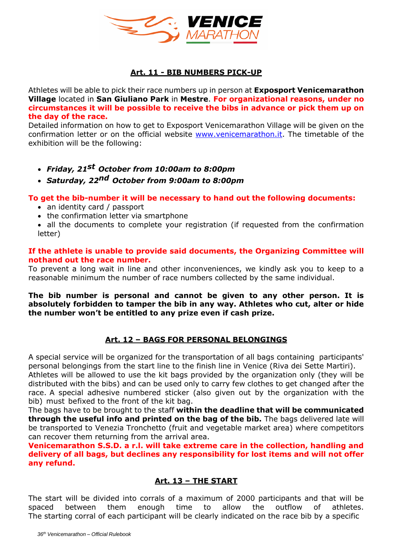

# **Art. 11 - BIB NUMBERS PICK-UP**

Athletes will be able to pick their race numbers up in person at **Exposport Venicemarathon Village** located in **San Giuliano Park** in **Mestre**. **For organizational reasons, under no circumstances it will be possible to receive the bibs in advance or pick them up on the day of the race.** 

Detailed information on how to get to Exposport Venicemarathon Village will be given on the confirmation letter or on the official website [www.venicemarathon.it.](about:blank) The timetable of the exhibition will be the following:

- *Friday, 21 st October from 10:00am to 8:00pm*
- *Saturday, 22 nd October from 9:00am to 8:00pm*

**To get the bib-number it will be necessary to hand out the following documents:**

- an identity card / passport
- the confirmation letter via smartphone
- all the documents to complete your registration (if requested from the confirmation letter)

#### **If the athlete is unable to provide said documents, the Organizing Committee will nothand out the race number.**

To prevent a long wait in line and other inconveniences, we kindly ask you to keep to a reasonable minimum the number of race numbers collected by the same individual.

**The bib number is personal and cannot be given to any other person. It is absolutely forbidden to tamper the bib in any way. Athletes who cut, alter or hide the number won't be entitled to any prize even if cash prize.**

# **Art. 12 – BAGS FOR PERSONAL BELONGINGS**

A special service will be organized for the transportation of all bags containing participants' personal belongings from the start line to the finish line in Venice (Riva dei Sette Martiri).

Athletes will be allowed to use the kit bags provided by the organization only (they will be distributed with the bibs) and can be used only to carry few clothes to get changed after the race. A special adhesive numbered sticker (also given out by the organization with the bib) must befixed to the front of the kit bag.

The bags have to be brought to the staff **within the deadline that will be communicated through the useful info and printed on the bag of the bib.** The bags delivered late will be transported to Venezia Tronchetto (fruit and vegetable market area) where competitors can recover them returning from the arrival area.

**Venicemarathon S.S.D. a r.l. will take extreme care in the collection, handling and delivery of all bags, but declines any responsibility for lost items and will not offer any refund.**

## **Art. 13 – THE START**

The start will be divided into corrals of a maximum of 2000 participants and that will be spaced between them enough time to allow the outflow of athletes. The starting corral of each participant will be clearly indicated on the race bib by a specific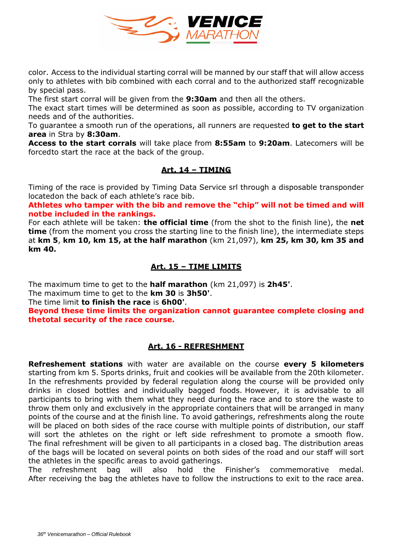

color. Access to the individual starting corral will be manned by our staff that will allow access only to athletes with bib combined with each corral and to the authorized staff recognizable by special pass.

The first start corral will be given from the **9:30am** and then all the others.

The exact start times will be determined as soon as possible, according to TV organization needs and of the authorities.

To guarantee a smooth run of the operations, all runners are requested **to get to the start area** in Stra by **8:30am**.

**Access to the start corrals** will take place from **8:55am** to **9:20am**. Latecomers will be forcedto start the race at the back of the group.

# **Art. 14 – TIMING**

Timing of the race is provided by Timing Data Service srl through a disposable transponder locatedon the back of each athlete's race bib.

**Athletes who tamper with the bib and remove the "chip" will not be timed and will notbe included in the rankings.**

For each athlete will be taken: **the official time** (from the shot to the finish line), the **net time** (from the moment you cross the starting line to the finish line), the intermediate steps at **km 5**, **km 10, km 15, at the half marathon** (km 21,097), **km 25, km 30, km 35 and km 40.** 

# **Art. 15 – TIME LIMITS**

The maximum time to get to the **half marathon** (km 21,097) is **2h45'**.

The maximum time to get to the **km 30** is **3h50'**.

The time limit **to finish the race** is **6h00'**.

**Beyond these time limits the organization cannot guarantee complete closing and thetotal security of the race course.**

## **Art. 16 - REFRESHMENT**

**Refreshement stations** with water are available on the course **every 5 kilometers**  starting from km 5. Sports drinks, fruit and cookies will be available from the 20th kilometer. In the refreshments provided by federal regulation along the course will be provided only drinks in closed bottles and individually bagged foods. However, it is advisable to all participants to bring with them what they need during the race and to store the waste to throw them only and exclusively in the appropriate containers that will be arranged in many points of the course and at the finish line. To avoid gatherings, refreshments along the route will be placed on both sides of the race course with multiple points of distribution, our staff will sort the athletes on the right or left side refreshment to promote a smooth flow. The final refreshment will be given to all participants in a closed bag. The distribution areas of the bags will be located on several points on both sides of the road and our staff will sort the athletes in the specific areas to avoid gatherings.

The refreshment bag will also hold the Finisher's commemorative medal. After receiving the bag the athletes have to follow the instructions to exit to the race area.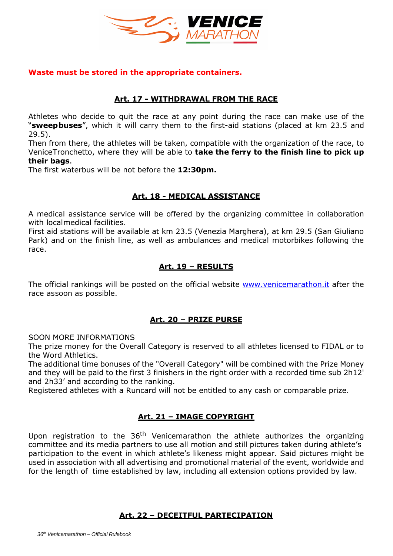

#### **Waste must be stored in the appropriate containers.**

#### **Art. 17 - WITHDRAWAL FROM THE RACE**

Athletes who decide to quit the race at any point during the race can make use of the "**sweepbuses**", which it will carry them to the first-aid stations (placed at km 23.5 and 29.5).

Then from there, the athletes will be taken, compatible with the organization of the race, to VeniceTronchetto, where they will be able to **take the ferry to the finish line to pick up their bags**.

The first waterbus will be not before the **12:30pm.**

#### **Art. 18 - MEDICAL ASSISTANCE**

A medical assistance service will be offered by the organizing committee in collaboration with localmedical facilities.

First aid stations will be available at km 23.5 (Venezia Marghera), at km 29.5 (San Giuliano Park) and on the finish line, as well as ambulances and medical motorbikes following the race.

## **Art. 19 – RESULTS**

The official rankings will be posted on the official website [www.venicemarathon.it](about:blank) after the race assoon as possible.

#### **Art. 20 – PRIZE PURSE**

SOON MORE INFORMATIONS

The prize money for the Overall Category is reserved to all athletes licensed to FIDAL or to the Word Athletics.

The additional time bonuses of the "Overall Category" will be combined with the Prize Money and they will be paid to the first 3 finishers in the right order with a recorded time sub 2h12' and 2h33' and according to the ranking.

Registered athletes with a Runcard will not be entitled to any cash or comparable prize.

## **Art. 21 – IMAGE COPYRIGHT**

Upon registration to the 36<sup>th</sup> Venicemarathon the athlete authorizes the organizing committee and its media partners to use all motion and still pictures taken during athlete's participation to the event in which athlete's likeness might appear. Said pictures might be used in association with all advertising and promotional material of the event, worldwide and for the length of time established by law, including all extension options provided by law.

#### **Art. 22 – DECEITFUL PARTECIPATION**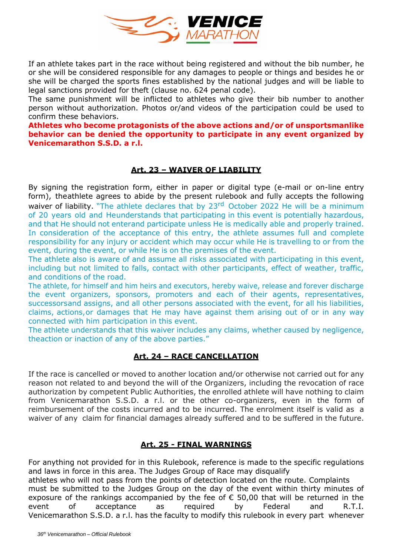

If an athlete takes part in the race without being registered and without the bib number, he or she will be considered responsible for any damages to people or things and besides he or she will be charged the sports fines established by the national judges and will be liable to legal sanctions provided for theft (clause no. 624 penal code).

The same punishment will be inflicted to athletes who give their bib number to another person without authorization. Photos or/and videos of the participation could be used to confirm these behaviors.

**Athletes who become protagonists of the above actions and/or of unsportsmanlike behavior can be denied the opportunity to participate in any event organized by Venicemarathon S.S.D. a r.l.**

# **Art. 23 – WAIVER OF LIABILITY**

By signing the registration form, either in paper or digital type (e-mail or on-line entry form), theathlete agrees to abide by the present rulebook and fully accepts the following waiver of liability. "The athlete declares that by 23<sup>rd</sup> October 2022 He will be a minimum of 20 years old and Heunderstands that participating in this event is potentially hazardous, and that He should not enterand participate unless He is medically able and properly trained. In consideration of the acceptance of this entry, the athlete assumes full and complete responsibility for any injury or accident which may occur while He is travelling to or from the event, during the event, or while He is on the premises of the event.

The athlete also is aware of and assume all risks associated with participating in this event, including but not limited to falls, contact with other participants, effect of weather, traffic, and conditions of the road.

The athlete, for himself and him heirs and executors, hereby waive, release and forever discharge the event organizers, sponsors, promoters and each of their agents, representatives, successorsand assigns, and all other persons associated with the event, for all his liabilities, claims, actions,or damages that He may have against them arising out of or in any way connected with him participation in this event.

The athlete understands that this waiver includes any claims, whether caused by negligence, theaction or inaction of any of the above parties."

# **Art. 24 – RACE CANCELLATION**

If the race is cancelled or moved to another location and/or otherwise not carried out for any reason not related to and beyond the will of the Organizers, including the revocation of race authorization by competent Public Authorities, the enrolled athlete will have nothing to claim from Venicemarathon S.S.D. a r.l. or the other co-organizers, even in the form of reimbursement of the costs incurred and to be incurred. The enrolment itself is valid as a waiver of any claim for financial damages already suffered and to be suffered in the future.

## **Art. 25 - FINAL WARNINGS**

For anything not provided for in this Rulebook, reference is made to the specific regulations and laws in force in this area. The Judges Group of Race may disqualify

athletes who will not pass from the points of detection located on the route. Complaints must be submitted to the Judges Group on the day of the event within thirty minutes of exposure of the rankings accompanied by the fee of  $\epsilon$  50,00 that will be returned in the event of acceptance as required by Federal and R.T.I. Venicemarathon S.S.D. a r.l. has the faculty to modify this rulebook in every part whenever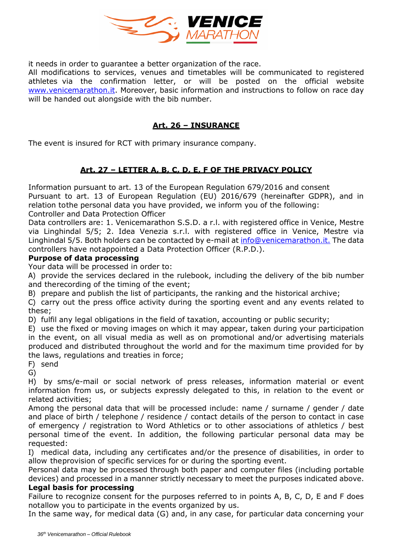

it needs in order to guarantee a better organization of the race.

All modifications to services, venues and timetables will be communicated to registered athletes via the confirmation letter, or will be posted on the official website [www.venicemarathon.it.](about:blank) Moreover, basic information and instructions to follow on race day will be handed out alongside with the bib number.

## **Art. 26 – INSURANCE**

The event is insured for RCT with primary insurance company.

# **Art. 27 – LETTER A, B, C, D, E, F OF THE PRIVACY POLICY**

Information pursuant to art. 13 of the European Regulation 679/2016 and consent Pursuant to art. 13 of European Regulation (EU) 2016/679 (hereinafter GDPR), and in relation tothe personal data you have provided, we inform you of the following: Controller and Data Protection Officer

Data controllers are: 1. Venicemarathon S.S.D. a r.l. with registered office in Venice, Mestre via Linghindal 5/5; 2. Idea Venezia s.r.l. with registered office in Venice, Mestre via Linghindal 5/5. Both holders can be contacted by e-mail at [info@venicemarathon.it.](about:blank) The data controllers have notappointed a Data Protection Officer (R.P.D.).

## **Purpose of data processing**

Your data will be processed in order to:

A) provide the services declared in the rulebook, including the delivery of the bib number and therecording of the timing of the event;

B) prepare and publish the list of participants, the ranking and the historical archive;

C) carry out the press office activity during the sporting event and any events related to these;

D) fulfil any legal obligations in the field of taxation, accounting or public security;

E) use the fixed or moving images on which it may appear, taken during your participation in the event, on all visual media as well as on promotional and/or advertising materials produced and distributed throughout the world and for the maximum time provided for by the laws, regulations and treaties in force;

F) send

G)

H) by sms/e-mail or social network of press releases, information material or event information from us, or subjects expressly delegated to this, in relation to the event or related activities;

Among the personal data that will be processed include: name / surname / gender / date and place of birth / telephone / residence / contact details of the person to contact in case of emergency / registration to Word Athletics or to other associations of athletics / best personal time of the event. In addition, the following particular personal data may be requested:

I) medical data, including any certificates and/or the presence of disabilities, in order to allow theprovision of specific services for or during the sporting event.

Personal data may be processed through both paper and computer files (including portable devices) and processed in a manner strictly necessary to meet the purposes indicated above. **Legal basis for processing**

Failure to recognize consent for the purposes referred to in points A, B, C, D, E and F does notallow you to participate in the events organized by us.

In the same way, for medical data (G) and, in any case, for particular data concerning your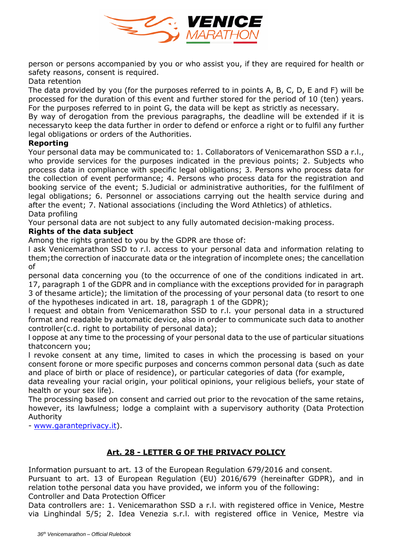

person or persons accompanied by you or who assist you, if they are required for health or safety reasons, consent is required.

#### Data retention

The data provided by you (for the purposes referred to in points A, B, C, D, E and F) will be processed for the duration of this event and further stored for the period of 10 (ten) years. For the purposes referred to in point G, the data will be kept as strictly as necessary.

By way of derogation from the previous paragraphs, the deadline will be extended if it is necessaryto keep the data further in order to defend or enforce a right or to fulfil any further legal obligations or orders of the Authorities.

## **Reporting**

Your personal data may be communicated to: 1. Collaborators of Venicemarathon SSD a r.l., who provide services for the purposes indicated in the previous points; 2. Subjects who process data in compliance with specific legal obligations; 3. Persons who process data for the collection of event performance; 4. Persons who process data for the registration and booking service of the event; 5.Judicial or administrative authorities, for the fulfilment of legal obligations; 6. Personnel or associations carrying out the health service during and after the event; 7. National associations (including the Word Athletics) of athletics. Data profiling

Your personal data are not subject to any fully automated decision-making process.

## **Rights of the data subject**

Among the rights granted to you by the GDPR are those of:

l ask Venicemarathon SSD to r.l. access to your personal data and information relating to them;the correction of inaccurate data or the integration of incomplete ones; the cancellation of

personal data concerning you (to the occurrence of one of the conditions indicated in art. 17, paragraph 1 of the GDPR and in compliance with the exceptions provided for in paragraph 3 of thesame article); the limitation of the processing of your personal data (to resort to one of the hypotheses indicated in art. 18, paragraph 1 of the GDPR);

l request and obtain from Venicemarathon SSD to r.l. your personal data in a structured format and readable by automatic device, also in order to communicate such data to another controller(c.d. right to portability of personal data);

l oppose at any time to the processing of your personal data to the use of particular situations thatconcern you;

l revoke consent at any time, limited to cases in which the processing is based on your consent forone or more specific purposes and concerns common personal data (such as date and place of birth or place of residence), or particular categories of data (for example,

data revealing your racial origin, your political opinions, your religious beliefs, your state of health or your sex life).

The processing based on consent and carried out prior to the revocation of the same retains, however, its lawfulness; lodge a complaint with a supervisory authority (Data Protection Authority

- [www.garanteprivacy.it\)](about:blank).

# **Art. 28 - LETTER G OF THE PRIVACY POLICY**

Information pursuant to art. 13 of the European Regulation 679/2016 and consent.

Pursuant to art. 13 of European Regulation (EU) 2016/679 (hereinafter GDPR), and in relation tothe personal data you have provided, we inform you of the following: Controller and Data Protection Officer

Data controllers are: 1. Venicemarathon SSD a r.l. with registered office in Venice, Mestre via Linghindal 5/5; 2. Idea Venezia s.r.l. with registered office in Venice, Mestre via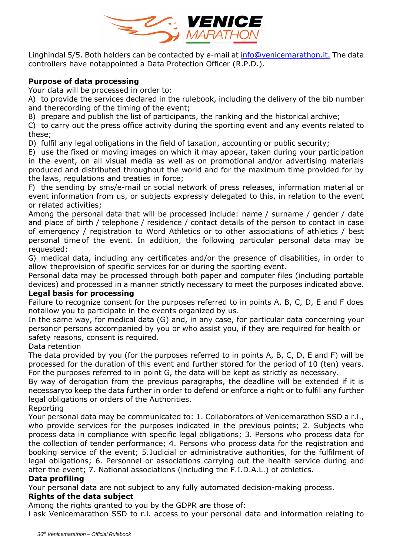

Linghindal 5/5. Both holders can be contacted by e-mail at [info@venicemarathon.it.](about:blank) The data controllers have notappointed a Data Protection Officer (R.P.D.).

## **Purpose of data processing**

Your data will be processed in order to:

A) to provide the services declared in the rulebook, including the delivery of the bib number and therecording of the timing of the event;

B) prepare and publish the list of participants, the ranking and the historical archive;

C) to carry out the press office activity during the sporting event and any events related to these;

D) fulfil any legal obligations in the field of taxation, accounting or public security;

E) use the fixed or moving images on which it may appear, taken during your participation in the event, on all visual media as well as on promotional and/or advertising materials produced and distributed throughout the world and for the maximum time provided for by the laws, regulations and treaties in force;

F) the sending by sms/e-mail or social network of press releases, information material or event information from us, or subjects expressly delegated to this, in relation to the event or related activities;

Among the personal data that will be processed include: name / surname / gender / date and place of birth / telephone / residence / contact details of the person to contact in case of emergency / registration to Word Athletics or to other associations of athletics / best personal time of the event. In addition, the following particular personal data may be requested:

G) medical data, including any certificates and/or the presence of disabilities, in order to allow theprovision of specific services for or during the sporting event.

Personal data may be processed through both paper and computer files (including portable devices) and processed in a manner strictly necessary to meet the purposes indicated above.

## **Legal basis for processing**

Failure to recognize consent for the purposes referred to in points A, B, C, D, E and F does notallow you to participate in the events organized by us.

In the same way, for medical data (G) and, in any case, for particular data concerning your personor persons accompanied by you or who assist you, if they are required for health or safety reasons, consent is required.

#### Data retention

The data provided by you (for the purposes referred to in points A, B, C, D, E and F) will be processed for the duration of this event and further stored for the period of 10 (ten) years. For the purposes referred to in point G, the data will be kept as strictly as necessary.

By way of derogation from the previous paragraphs, the deadline will be extended if it is necessaryto keep the data further in order to defend or enforce a right or to fulfil any further legal obligations or orders of the Authorities.

Reporting

Your personal data may be communicated to: 1. Collaborators of Venicemarathon SSD a r.l., who provide services for the purposes indicated in the previous points; 2. Subjects who process data in compliance with specific legal obligations; 3. Persons who process data for the collection of tender performance; 4. Persons who process data for the registration and booking service of the event; 5.Judicial or administrative authorities, for the fulfilment of legal obligations; 6. Personnel or associations carrying out the health service during and after the event; 7. National associations (including the F.I.D.A.L.) of athletics.

## **Data profiling**

Your personal data are not subject to any fully automated decision-making process.

## **Rights of the data subject**

Among the rights granted to you by the GDPR are those of:

l ask Venicemarathon SSD to r.l. access to your personal data and information relating to